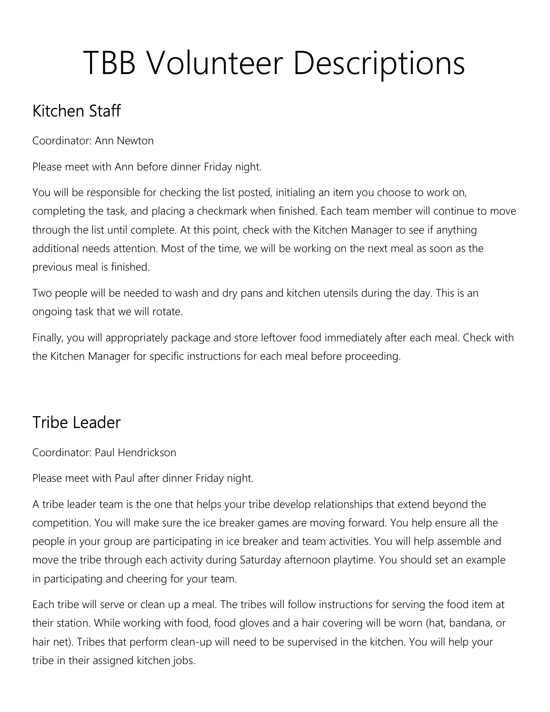# TBB Volunteer Descriptions

# Kitchen Staff

Coordinator: Ann Newton

Please meet with Ann before dinner Friday night.

You will be responsible for checking the list posted, initialing an item you choose to work on, completing the task, and placing a checkmark when finished. Each team member will continue to move through the list until complete. At this point, check with the Kitchen Manager to see if anything additional needs attention. Most of the time, we will be working on the next meal as soon as the previous meal is finished.

Two people will be needed to wash and dry pans and kitchen utensils during the day. This is an ongoing task that we will rotate.

Finally, you will appropriately package and store leftover food immediately after each meal. Check with the Kitchen Manager for specific instructions for each meal before proceeding.

### Tribe Leader

Coordinator: Paul Hendrickson

Please meet with Paul after dinner Friday night.

A tribe leader team is the one that helps your tribe develop relationships that extend beyond the competition. You will make sure the ice breaker games are moving forward. You help ensure all the people in your group are participating in ice breaker and team activities. You will help assemble and move the tribe through each activity during Saturday afternoon playtime. You should set an example in participating and cheering for your team.

Each tribe will serve or clean up a meal. The tribes will follow instructions for serving the food item at their station. While working with food, food gloves and a hair covering will be worn (hat, bandana, or hair net). Tribes that perform clean-up will need to be supervised in the kitchen. You will help your tribe in their assigned kitchen jobs.